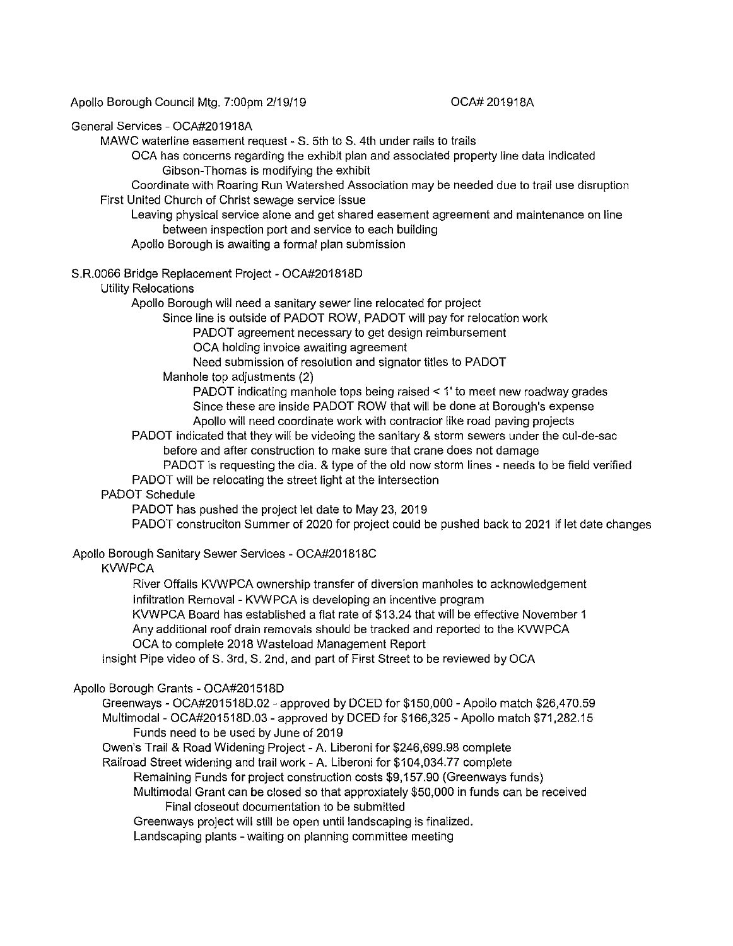Apollo Borough Council Mtg. 7:00pm 2/19/19

#### OCA# 201918A

General Services - OCA#201918A

MAWC waterline easement request - S. 5th to S. 4th under rails to trails

OCA has concerns regarding the exhibit plan and associated property line data indicated Gibson-Thomas is modifying the exhibit

Coordinate with Roaring Run Watershed Association may be needed due to trail use disruption First United Church of Christ sewage service issue

Leaving physical service alone and get shared easement agreement and maintenance on line between inspection port and service to each building

Apollo Borough is awaiting a formal plan submission

S.R.0066 Bridge Replacement Project - OCA#201818D

#### Utility Relocations

Apollo Borough will need a sanitary sewer line relocated for project

Since line is outside of PADOT ROW, PADOT will pay for relocation work

PADOT agreement necessary to get design reimbursement

OCA holding invoice awaiting agreement

Need submission of resolution and signator titles to PADOT

Manhole top adjustments (2)

PADOT indicating manhole tops being raised < 1' to meet new roadway grades Since these are inside PADOT ROW that will be done at Borough's expense Apollo will need coordinate work with contractor like road paving projects

PADOT indicated that they will be videoing the sanitary & storm sewers under the cul-de-sac

before and after construction to make sure that crane does not damage

PADOT is requesting the dia. & type of the old now storm lines - needs to be field verified PADOT will be relocating the street light at the intersection

# PADOT Schedule

PADOT has pushed the project let date to May 23, 2019

PADOT construciton Summer of 2020 for project could be pushed back to 2021 if let date changes

Apollo Borough Sanitary Sewer Services - OCA#201818C

# KVWPCA

River Offalls KVWPCA ownership transfer of diversion manholes to acknowledgement Infiltration Removal - KVWPCA is developing an incentive program

KVWPCA Board has established a fiat rate of \$13.24 that will be effective November 1 Any additional roof drain removals should be tracked and reported to the KVWPCA OCA to complete 2018 Wasteload Management Report

Insight Pipe video of S. 3rd, S. 2nd, and part of First Street to be reviewed by OCA

# Apollo Borough Grants - OCA#201518D

Greenways - OCA#201518D.02 - approved by DCED for \$150,000 - Apollo match \$26,470.59 Multimodal - OCA#201518D.03 - approved by DCED for \$166,325 - Apollo match \$71,282.15 Funds need to be used by June of 2019

Owen's Trail & Road Widening Project - A. Liberoni for \$246,699.98 complete

Railroad Street widening and trail work - A. Liberoni for \$104,034.77 complete

Remaining Funds for project construction costs \$9, 157.90 (Greenways funds)

Multimodal Grant can be closed so that approxiately \$50,000 in funds can be received Final closeout documentation to be submitted

Greenways project will still be open until landscaping is finalized.

Landscaping plants - waiting on planning committee meeting